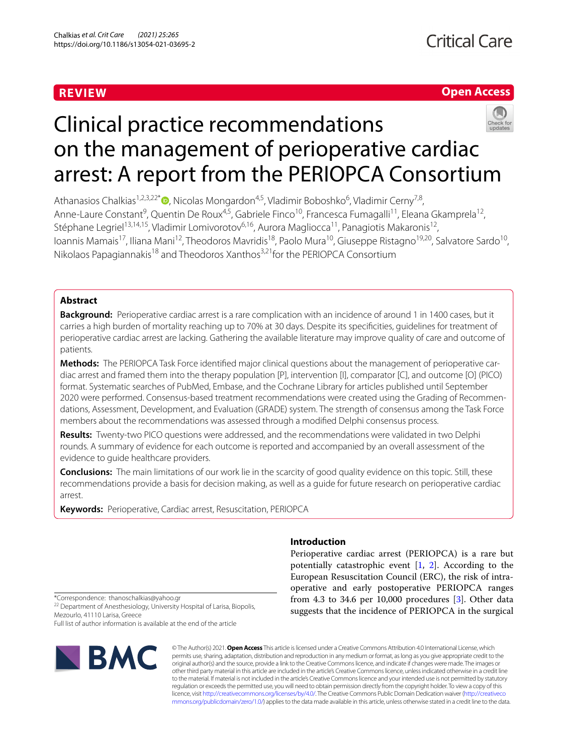## **REVIEW**

### **Open Access**



# Clinical practice recommendations on the management of perioperative cardiac arrest: A report from the PERIOPCA Consortium

Athanasios Chalkias<sup>1,2,3,22[\\*](http://orcid.org/0000-0002-7634-4665)</sup> (D, Nicolas Mongardon<sup>4,5</sup>, Vladimir Boboshko<sup>6</sup>, Vladimir Cerny<sup>7,8</sup>, Anne-Laure Constant<sup>9</sup>, Quentin De Roux<sup>4,5</sup>, Gabriele Finco<sup>10</sup>, Francesca Fumagalli<sup>11</sup>, Eleana Gkamprela<sup>12</sup>, Stéphane Legriel<sup>13,14,15</sup>, Vladimir Lomivorotov<sup>6,16</sup>, Aurora Magliocca<sup>11</sup>, Panagiotis Makaronis<sup>12</sup>, Ioannis Mamais<sup>17</sup>, Iliana Mani<sup>12</sup>, Theodoros Mavridis<sup>18</sup>, Paolo Mura<sup>10</sup>, Giuseppe Ristagno<sup>19,20</sup>, Salvatore Sardo<sup>10</sup>, Nikolaos Papagiannakis<sup>18</sup> and Theodoros Xanthos<sup>3,21</sup> for the PERIOPCA Consortium

### **Abstract**

**Background:** Perioperative cardiac arrest is a rare complication with an incidence of around 1 in 1400 cases, but it carries a high burden of mortality reaching up to 70% at 30 days. Despite its specifcities, guidelines for treatment of perioperative cardiac arrest are lacking. Gathering the available literature may improve quality of care and outcome of patients.

**Methods:** The PERIOPCA Task Force identified major clinical questions about the management of perioperative cardiac arrest and framed them into the therapy population [P], intervention [I], comparator [C], and outcome [O] (PICO) format. Systematic searches of PubMed, Embase, and the Cochrane Library for articles published until September 2020 were performed. Consensus-based treatment recommendations were created using the Grading of Recommendations, Assessment, Development, and Evaluation (GRADE) system. The strength of consensus among the Task Force members about the recommendations was assessed through a modifed Delphi consensus process.

**Results:** Twenty-two PICO questions were addressed, and the recommendations were validated in two Delphi rounds. A summary of evidence for each outcome is reported and accompanied by an overall assessment of the evidence to guide healthcare providers.

**Conclusions:** The main limitations of our work lie in the scarcity of good quality evidence on this topic. Still, these recommendations provide a basis for decision making, as well as a guide for future research on perioperative cardiac arrest.

**Keywords:** Perioperative, Cardiac arrest, Resuscitation, PERIOPCA

### **Introduction**

Perioperative cardiac arrest (PERIOPCA) is a rare but potentially catastrophic event  $[1, 2]$  $[1, 2]$  $[1, 2]$  $[1, 2]$ . According to the European Resuscitation Council (ERC), the risk of intraoperative and early postoperative PERIOPCA ranges from 4.3 to 34.6 per 10,000 procedures [\[3](#page-7-2)]. Other data suggests that the incidence of PERIOPCA in the surgical

\*Correspondence: thanoschalkias@yahoo.gr

<sup>22</sup> Department of Anesthesiology, University Hospital of Larisa, Biopolis, Mezourlo, 41110 Larisa, Greece

Full list of author information is available at the end of the article



© The Author(s) 2021. **Open Access** This article is licensed under a Creative Commons Attribution 4.0 International License, which permits use, sharing, adaptation, distribution and reproduction in any medium or format, as long as you give appropriate credit to the original author(s) and the source, provide a link to the Creative Commons licence, and indicate if changes were made. The images or other third party material in this article are included in the article's Creative Commons licence, unless indicated otherwise in a credit line to the material. If material is not included in the article's Creative Commons licence and your intended use is not permitted by statutory regulation or exceeds the permitted use, you will need to obtain permission directly from the copyright holder. To view a copy of this licence, visit [http://creativecommons.org/licenses/by/4.0/.](http://creativecommons.org/licenses/by/4.0/) The Creative Commons Public Domain Dedication waiver ([http://creativeco](http://creativecommons.org/publicdomain/zero/1.0/) [mmons.org/publicdomain/zero/1.0/](http://creativecommons.org/publicdomain/zero/1.0/)) applies to the data made available in this article, unless otherwise stated in a credit line to the data.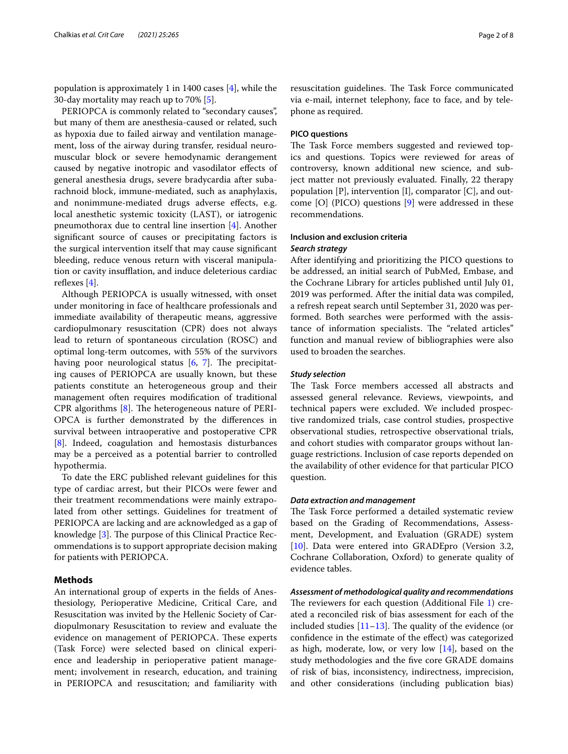population is approximately 1 in 1400 cases [\[4](#page-7-3)], while the 30-day mortality may reach up to 70% [[5\]](#page-7-4).

PERIOPCA is commonly related to "secondary causes", but many of them are anesthesia-caused or related, such as hypoxia due to failed airway and ventilation management, loss of the airway during transfer, residual neuromuscular block or severe hemodynamic derangement caused by negative inotropic and vasodilator efects of general anesthesia drugs, severe bradycardia after subarachnoid block, immune-mediated, such as anaphylaxis, and nonimmune-mediated drugs adverse efects, e.g. local anesthetic systemic toxicity (LAST), or iatrogenic pneumothorax due to central line insertion [[4\]](#page-7-3). Another signifcant source of causes or precipitating factors is the surgical intervention itself that may cause signifcant bleeding, reduce venous return with visceral manipulation or cavity insufflation, and induce deleterious cardiac reflexes  $[4]$ .

Although PERIOPCA is usually witnessed, with onset under monitoring in face of healthcare professionals and immediate availability of therapeutic means, aggressive cardiopulmonary resuscitation (CPR) does not always lead to return of spontaneous circulation (ROSC) and optimal long-term outcomes, with 55% of the survivors having poor neurological status  $[6, 7]$  $[6, 7]$  $[6, 7]$  $[6, 7]$ . The precipitating causes of PERIOPCA are usually known, but these patients constitute an heterogeneous group and their management often requires modifcation of traditional CPR algorithms  $[8]$  $[8]$ . The heterogeneous nature of PERI-OPCA is further demonstrated by the diferences in survival between intraoperative and postoperative CPR [[8\]](#page-7-7). Indeed, coagulation and hemostasis disturbances may be a perceived as a potential barrier to controlled hypothermia.

To date the ERC published relevant guidelines for this type of cardiac arrest, but their PICOs were fewer and their treatment recommendations were mainly extrapolated from other settings. Guidelines for treatment of PERIOPCA are lacking and are acknowledged as a gap of knowledge  $[3]$  $[3]$ . The purpose of this Clinical Practice Recommendations is to support appropriate decision making for patients with PERIOPCA.

### **Methods**

An international group of experts in the felds of Anesthesiology, Perioperative Medicine, Critical Care, and Resuscitation was invited by the Hellenic Society of Cardiopulmonary Resuscitation to review and evaluate the evidence on management of PERIOPCA. These experts (Task Force) were selected based on clinical experience and leadership in perioperative patient management; involvement in research, education, and training in PERIOPCA and resuscitation; and familiarity with resuscitation guidelines. The Task Force communicated via e-mail, internet telephony, face to face, and by telephone as required.

### **PICO questions**

The Task Force members suggested and reviewed topics and questions. Topics were reviewed for areas of controversy, known additional new science, and subject matter not previously evaluated. Finally, 22 therapy population [P], intervention [I], comparator [C], and outcome [O] (PICO) questions [[9\]](#page-7-8) were addressed in these recommendations.

### **Inclusion and exclusion criteria** *Search strategy*

After identifying and prioritizing the PICO questions to be addressed, an initial search of PubMed, Embase, and the Cochrane Library for articles published until July 01, 2019 was performed. After the initial data was compiled, a refresh repeat search until September 31, 2020 was performed. Both searches were performed with the assistance of information specialists. The "related articles" function and manual review of bibliographies were also used to broaden the searches.

### *Study selection*

The Task Force members accessed all abstracts and assessed general relevance. Reviews, viewpoints, and technical papers were excluded. We included prospective randomized trials, case control studies, prospective observational studies, retrospective observational trials, and cohort studies with comparator groups without language restrictions. Inclusion of case reports depended on the availability of other evidence for that particular PICO question.

#### *Data extraction and management*

The Task Force performed a detailed systematic review based on the Grading of Recommendations, Assessment, Development, and Evaluation (GRADE) system [[10\]](#page-7-9). Data were entered into GRADEpro (Version 3.2, Cochrane Collaboration, Oxford) to generate quality of evidence tables.

*Assessment of methodological quality and recommendations* The reviewers for each question (Additional File  $1$ ) created a reconciled risk of bias assessment for each of the included studies  $[11–13]$  $[11–13]$  $[11–13]$  $[11–13]$ . The quality of the evidence (or confdence in the estimate of the efect) was categorized as high, moderate, low, or very low  $[14]$  $[14]$ , based on the study methodologies and the fve core GRADE domains of risk of bias, inconsistency, indirectness, imprecision, and other considerations (including publication bias)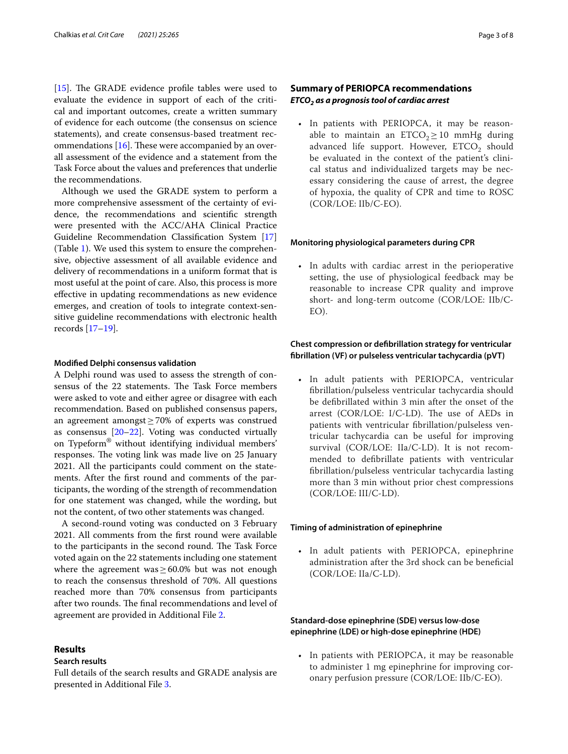[ $15$ ]. The GRADE evidence profile tables were used to evaluate the evidence in support of each of the critical and important outcomes, create a written summary of evidence for each outcome (the consensus on science statements), and create consensus-based treatment recommendations  $[16]$  $[16]$  $[16]$ . These were accompanied by an overall assessment of the evidence and a statement from the Task Force about the values and preferences that underlie the recommendations.

Although we used the GRADE system to perform a more comprehensive assessment of the certainty of evidence, the recommendations and scientifc strength were presented with the ACC/AHA Clinical Practice Guideline Recommendation Classifcation System [[17](#page-7-15)] (Table [1\)](#page-3-0). We used this system to ensure the comprehensive, objective assessment of all available evidence and delivery of recommendations in a uniform format that is most useful at the point of care. Also, this process is more efective in updating recommendations as new evidence emerges, and creation of tools to integrate context-sensitive guideline recommendations with electronic health records [[17–](#page-7-15)[19](#page-7-16)].

#### **Modifed Delphi consensus validation**

A Delphi round was used to assess the strength of consensus of the 22 statements. The Task Force members were asked to vote and either agree or disagree with each recommendation. Based on published consensus papers, an agreement amongst≥70% of experts was construed as consensus [[20–](#page-7-17)[22\]](#page-7-18). Voting was conducted virtually on Typeform® without identifying individual members' responses. The voting link was made live on 25 January 2021. All the participants could comment on the statements. After the frst round and comments of the participants, the wording of the strength of recommendation for one statement was changed, while the wording, but not the content, of two other statements was changed.

A second-round voting was conducted on 3 February 2021. All comments from the frst round were available to the participants in the second round. The Task Force voted again on the 22 statements including one statement where the agreement was  $\geq 60.0\%$  but was not enough to reach the consensus threshold of 70%. All questions reached more than 70% consensus from participants after two rounds. The final recommendations and level of agreement are provided in Additional File [2](#page-6-1).

### **Results**

#### **Search results**

Full details of the search results and GRADE analysis are presented in Additional File [3](#page-6-2).

### **Summary of PERIOPCA recommendations** *ETCO2 as a prognosis tool of cardiac arrest*

• In patients with PERIOPCA, it may be reasonable to maintain an  $ETCO<sub>2</sub> \ge 10$  mmHg during advanced life support. However, ETCO<sub>2</sub> should be evaluated in the context of the patient's clinical status and individualized targets may be necessary considering the cause of arrest, the degree of hypoxia, the quality of CPR and time to ROSC (COR/LOE: IIb/C-EO).

### **Monitoring physiological parameters during CPR**

• In adults with cardiac arrest in the perioperative setting, the use of physiological feedback may be reasonable to increase CPR quality and improve short- and long-term outcome (COR/LOE: IIb/C-EO).

### **Chest compression or defbrillation strategy for ventricular fbrillation (VF) or pulseless ventricular tachycardia (pVT)**

• In adult patients with PERIOPCA, ventricular fbrillation/pulseless ventricular tachycardia should be defbrillated within 3 min after the onset of the arrest (COR/LOE: I/C-LD). The use of AEDs in patients with ventricular fbrillation/pulseless ventricular tachycardia can be useful for improving survival (COR/LOE: IIa/C-LD). It is not recommended to defbrillate patients with ventricular fbrillation/pulseless ventricular tachycardia lasting more than 3 min without prior chest compressions (COR/LOE: III/C-LD).

#### **Timing of administration of epinephrine**

• In adult patients with PERIOPCA, epinephrine administration after the 3rd shock can be benefcial (COR/LOE: IIa/C-LD).

### **Standard‑dose epinephrine (SDE) versus low‑dose epinephrine (LDE) or high‑dose epinephrine (HDE)**

• In patients with PERIOPCA, it may be reasonable to administer 1 mg epinephrine for improving coronary perfusion pressure (COR/LOE: IIb/C-EO).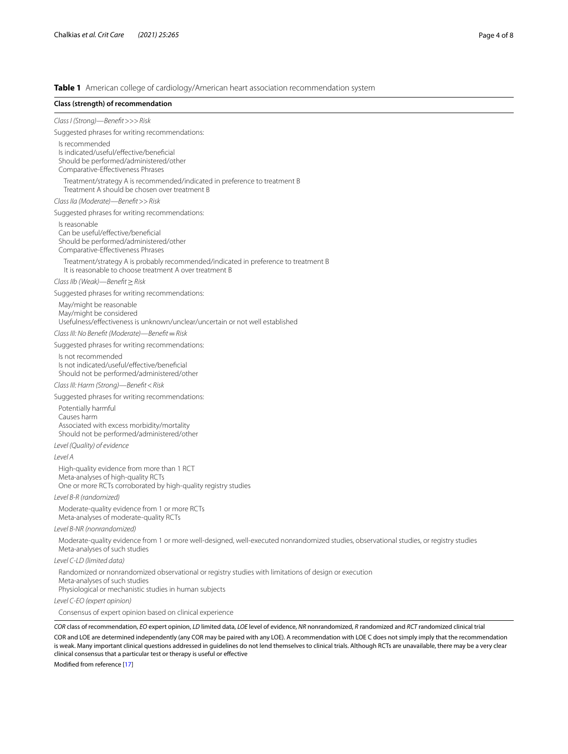<span id="page-3-0"></span>**Table 1** American college of cardiology/American heart association recommendation system

### *COR* class of recommendation, *EO* expert opinion, *LD* limited data, *LOE* level of evidence, *NR* nonrandomized, *R* randomized and *RCT* randomized clinical trial **Class (strength) of recommendation** *Class I (Strong)—Beneft*>>>*Risk* Suggested phrases for writing recommendations: Is recommended Is indicated/useful/efective/benefcial Should be performed/administered/other Comparative-Efectiveness Phrases Treatment/strategy A is recommended/indicated in preference to treatment B Treatment A should be chosen over treatment B *Class IIa (Moderate)—Beneft*>>*Risk* Suggested phrases for writing recommendations: Is reasonable Can be useful/effective/beneficial Should be performed/administered/other Comparative-Efectiveness Phrases Treatment/strategy A is probably recommended/indicated in preference to treatment B It is reasonable to choose treatment A over treatment B *Class IIb (Weak)—Beneft*≥*Risk* Suggested phrases for writing recommendations: May/might be reasonable May/might be considered Usefulness/efectiveness is unknown/unclear/uncertain or not well established *Class III: No Beneft (Moderate)—Beneft*=*Risk* Suggested phrases for writing recommendations: Is not recommended Is not indicated/useful/efective/benefcial Should not be performed/administered/other *Class III: Harm (Strong)—Beneft*<*Risk* Suggested phrases for writing recommendations: Potentially harmful Causes harm Associated with excess morbidity/mortality Should not be performed/administered/other *Level (Quality) of evidence Level A* High-quality evidence from more than 1 RCT Meta-analyses of high-quality RCTs One or more RCTs corroborated by high-quality registry studies *Level B-R (randomized)* Moderate-quality evidence from 1 or more RCTs Meta-analyses of moderate-quality RCTs *Level B-NR (nonrandomized)* Moderate-quality evidence from 1 or more well-designed, well-executed nonrandomized studies, observational studies, or registry studies Meta-analyses of such studies *Level C-LD (limited data)* Randomized or nonrandomized observational or registry studies with limitations of design or execution Meta-analyses of such studies Physiological or mechanistic studies in human subjects *Level C-EO (expert opinion)* Consensus of expert opinion based on clinical experience

COR and LOE are determined independently (any COR may be paired with any LOE). A recommendation with LOE C does not simply imply that the recommendation is weak. Many important clinical questions addressed in guidelines do not lend themselves to clinical trials. Although RCTs are unavailable, there may be a very clear clinical consensus that a particular test or therapy is useful or efective

Modifed from reference [[17\]](#page-7-15)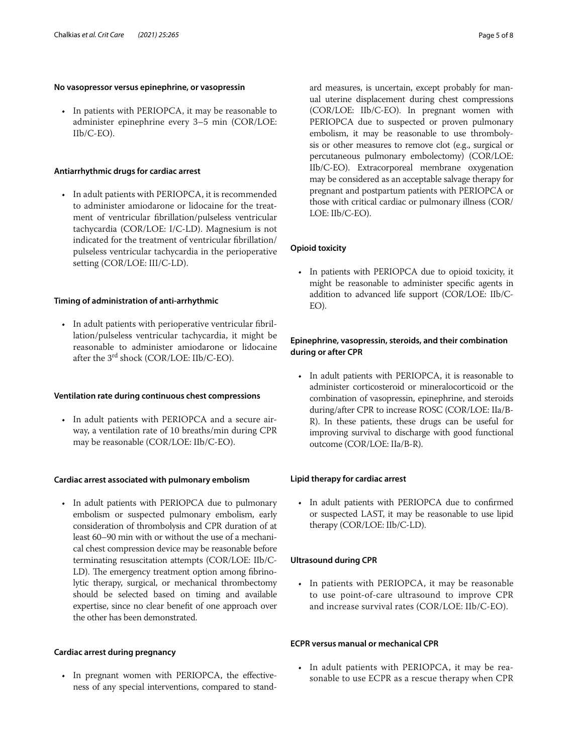### **No vasopressor versus epinephrine, or vasopressin**

• In patients with PERIOPCA, it may be reasonable to administer epinephrine every 3–5 min (COR/LOE: IIb/C-EO).

### **Antiarrhythmic drugs for cardiac arrest**

• In adult patients with PERIOPCA, it is recommended to administer amiodarone or lidocaine for the treatment of ventricular fbrillation/pulseless ventricular tachycardia (COR/LOE: I/C-LD). Magnesium is not indicated for the treatment of ventricular fbrillation/ pulseless ventricular tachycardia in the perioperative setting (COR/LOE: III/C-LD).

### **Timing of administration of anti‑arrhythmic**

• In adult patients with perioperative ventricular fibrillation/pulseless ventricular tachycardia, it might be reasonable to administer amiodarone or lidocaine after the 3rd shock (COR/LOE: IIb/C-EO).

### **Ventilation rate during continuous chest compressions**

• In adult patients with PERIOPCA and a secure airway, a ventilation rate of 10 breaths/min during CPR may be reasonable (COR/LOE: IIb/C-EO).

#### **Cardiac arrest associated with pulmonary embolism**

• In adult patients with PERIOPCA due to pulmonary embolism or suspected pulmonary embolism, early consideration of thrombolysis and CPR duration of at least 60–90 min with or without the use of a mechanical chest compression device may be reasonable before terminating resuscitation attempts (COR/LOE: IIb/C-LD). The emergency treatment option among fibrinolytic therapy, surgical, or mechanical thrombectomy should be selected based on timing and available expertise, since no clear beneft of one approach over the other has been demonstrated.

### **Cardiac arrest during pregnancy**

• In pregnant women with PERIOPCA, the effectiveness of any special interventions, compared to standard measures, is uncertain, except probably for manual uterine displacement during chest compressions (COR/LOE: IIb/C-EO). In pregnant women with PERIOPCA due to suspected or proven pulmonary embolism, it may be reasonable to use thrombolysis or other measures to remove clot (e.g., surgical or percutaneous pulmonary embolectomy) (COR/LOE: IIb/C-EO). Extracorporeal membrane oxygenation may be considered as an acceptable salvage therapy for pregnant and postpartum patients with PERIOPCA or those with critical cardiac or pulmonary illness (COR/

### **Opioid toxicity**

LOE: IIb/C-EO).

• In patients with PERIOPCA due to opioid toxicity, it might be reasonable to administer specifc agents in addition to advanced life support (COR/LOE: IIb/C-EO).

### **Epinephrine, vasopressin, steroids, and their combination during or after CPR**

• In adult patients with PERIOPCA, it is reasonable to administer corticosteroid or mineralocorticoid or the combination of vasopressin, epinephrine, and steroids during/after CPR to increase ROSC (COR/LOE: IIa/B-R). In these patients, these drugs can be useful for improving survival to discharge with good functional outcome (COR/LOE: IIa/B-R).

### **Lipid therapy for cardiac arrest**

• In adult patients with PERIOPCA due to confrmed or suspected LAST, it may be reasonable to use lipid therapy (COR/LOE: IIb/C-LD).

### **Ultrasound during CPR**

• In patients with PERIOPCA, it may be reasonable to use point-of-care ultrasound to improve CPR and increase survival rates (COR/LOE: IIb/C-EO).

### **ECPR versus manual or mechanical CPR**

• In adult patients with PERIOPCA, it may be reasonable to use ECPR as a rescue therapy when CPR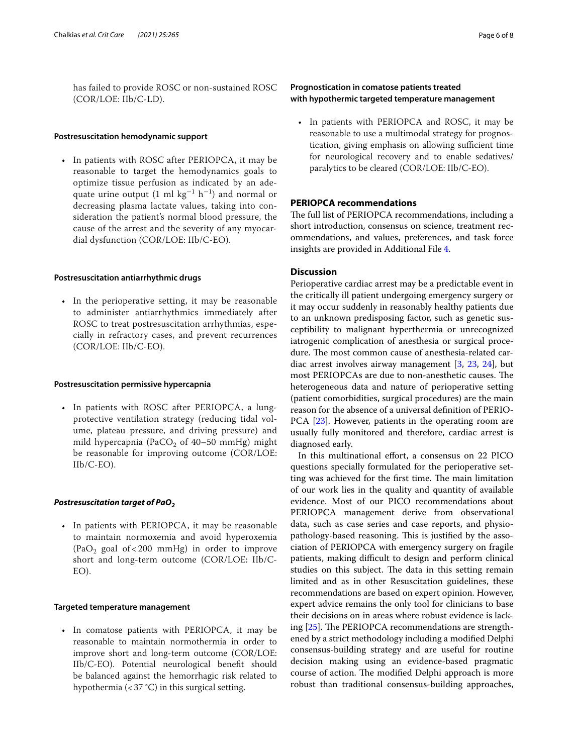has failed to provide ROSC or non-sustained ROSC (COR/LOE: IIb/C-LD).

### **Postresuscitation hemodynamic support**

In patients with ROSC after PERIOPCA, it may be reasonable to target the hemodynamics goals to optimize tissue perfusion as indicated by an adequate urine output (1 ml  $\text{kg}^{-1}$  h<sup>-1</sup>) and normal or decreasing plasma lactate values, taking into consideration the patient's normal blood pressure, the cause of the arrest and the severity of any myocardial dysfunction (COR/LOE: IIb/C-EO).

#### **Postresuscitation antiarrhythmic drugs**

• In the perioperative setting, it may be reasonable to administer antiarrhythmics immediately after ROSC to treat postresuscitation arrhythmias, especially in refractory cases, and prevent recurrences (COR/LOE: IIb/C-EO).

#### **Postresuscitation permissive hypercapnia**

• In patients with ROSC after PERIOPCA, a lungprotective ventilation strategy (reducing tidal volume, plateau pressure, and driving pressure) and mild hypercapnia (PaCO<sub>2</sub> of 40–50 mmHg) might be reasonable for improving outcome (COR/LOE: IIb/C-EO).

### *Postresuscitation target of PaO2*

• In patients with PERIOPCA, it may be reasonable to maintain normoxemia and avoid hyperoxemia (PaO<sub>2</sub> goal of < 200 mmHg) in order to improve short and long-term outcome (COR/LOE: IIb/C-EO).

### **Targeted temperature management**

• In comatose patients with PERIOPCA, it may be reasonable to maintain normothermia in order to improve short and long-term outcome (COR/LOE: IIb/C-EO). Potential neurological beneft should be balanced against the hemorrhagic risk related to hypothermia (<37 °C) in this surgical setting.

### **Prognostication in comatose patients treated with hypothermic targeted temperature management**

• In patients with PERIOPCA and ROSC, it may be reasonable to use a multimodal strategy for prognostication, giving emphasis on allowing sufficient time for neurological recovery and to enable sedatives/ paralytics to be cleared (COR/LOE: IIb/C-EO).

### **PERIOPCA recommendations**

The full list of PERIOPCA recommendations, including a short introduction, consensus on science, treatment recommendations, and values, preferences, and task force insights are provided in Additional File [4.](#page-6-3)

### **Discussion**

Perioperative cardiac arrest may be a predictable event in the critically ill patient undergoing emergency surgery or it may occur suddenly in reasonably healthy patients due to an unknown predisposing factor, such as genetic susceptibility to malignant hyperthermia or unrecognized iatrogenic complication of anesthesia or surgical procedure. The most common cause of anesthesia-related cardiac arrest involves airway management [[3](#page-7-2), [23](#page-7-19), [24\]](#page-7-20), but most PERIOPCAs are due to non-anesthetic causes. The heterogeneous data and nature of perioperative setting (patient comorbidities, surgical procedures) are the main reason for the absence of a universal defnition of PERIO-PCA [\[23](#page-7-19)]. However, patients in the operating room are usually fully monitored and therefore, cardiac arrest is diagnosed early.

In this multinational effort, a consensus on 22 PICO questions specially formulated for the perioperative setting was achieved for the first time. The main limitation of our work lies in the quality and quantity of available evidence. Most of our PICO recommendations about PERIOPCA management derive from observational data, such as case series and case reports, and physiopathology-based reasoning. This is justified by the association of PERIOPCA with emergency surgery on fragile patients, making difficult to design and perform clinical studies on this subject. The data in this setting remain limited and as in other Resuscitation guidelines, these recommendations are based on expert opinion. However, expert advice remains the only tool for clinicians to base their decisions on in areas where robust evidence is lacking  $[25]$  $[25]$ . The PERIOPCA recommendations are strengthened by a strict methodology including a modifed Delphi consensus-building strategy and are useful for routine decision making using an evidence-based pragmatic course of action. The modified Delphi approach is more robust than traditional consensus-building approaches,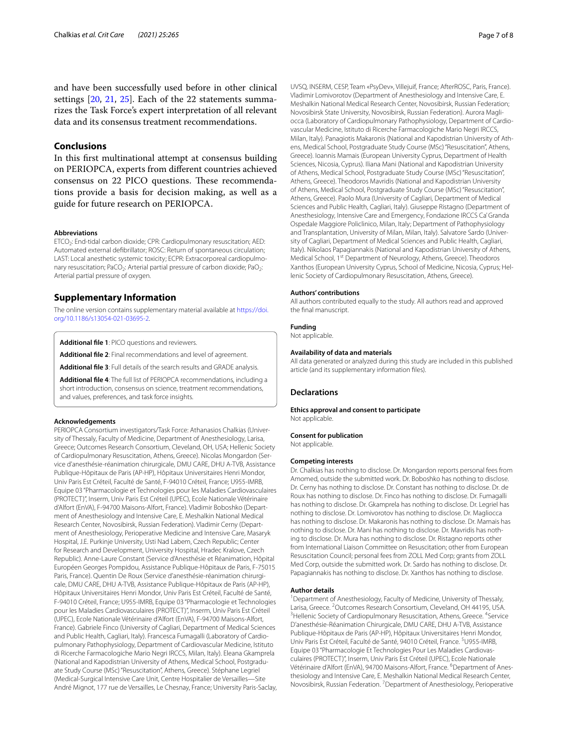and have been successfully used before in other clinical settings [[20,](#page-7-17) [21](#page-7-22), [25\]](#page-7-21). Each of the 22 statements summarizes the Task Force's expert interpretation of all relevant data and its consensus treatment recommendations.

### **Conclusions**

In this frst multinational attempt at consensus building on PERIOPCA, experts from diferent countries achieved consensus on 22 PICO questions. These recommendations provide a basis for decision making, as well as a guide for future research on PERIOPCA.

#### **Abbreviations**

ETCO<sub>2</sub>: End-tidal carbon dioxide; CPR: Cardiopulmonary resuscitation; AED: Automated external defbrillator; ROSC: Return of spontaneous circulation; LAST: Local anesthetic systemic toxicity; ECPR: Extracorporeal cardiopulmonary resuscitation; PaCO<sub>2</sub>: Arterial partial pressure of carbon dioxide; PaO<sub>2</sub>: Arterial partial pressure of oxygen.

### **Supplementary Information**

The online version contains supplementary material available at [https://doi.](https://doi.org/10.1186/s13054-021-03695-2) [org/10.1186/s13054-021-03695-2](https://doi.org/10.1186/s13054-021-03695-2).

<span id="page-6-1"></span><span id="page-6-0"></span>**Additional fle 1**: PICO questions and reviewers.

<span id="page-6-2"></span>**Additional fle 2**: Final recommendations and level of agreement.

<span id="page-6-3"></span>**Additional fle 3**: Full details of the search results and GRADE analysis.

**Additional fle 4**: The full list of PERIOPCA recommendations, including a short introduction, consensus on science, treatment recommendations, and values, preferences, and task force insights.

#### **Acknowledgements**

PERIOPCA Consortium investigators/Task Force: Athanasios Chalkias (Univer‑ sity of Thessaly, Faculty of Medicine, Department of Anesthesiology, Larisa, Greece; Outcomes Research Consortium, Cleveland, OH, USA; Hellenic Society of Cardiopulmonary Resuscitation, Athens, Greece). Nicolas Mongardon (Ser‑ vice d'anesthésie-réanimation chirurgicale, DMU CARE, DHU A-TVB, Assistance Publique-Hôpitaux de Paris (AP-HP), Hôpitaux Universitaires Henri Mondor, Univ Paris Est Créteil, Faculté de Santé, F-94010 Créteil, France; U955-IMRB, Equipe 03 "Pharmacologie et Technologies pour les Maladies Cardiovasculaires (PROTECT)", Inserm, Univ Paris Est Créteil (UPEC), Ecole Nationale Vétérinaire d'Alfort (EnVA), F-94700 Maisons-Alfort, France). Vladimir Boboshko (Depart‑ ment of Anesthesiology and Intensive Care, E. Meshalkin National Medical Research Center, Novosibirsk, Russian Federation). Vladimir Cerny (Depart‑ ment of Anesthesiology, Perioperative Medicine and Intensive Care, Masaryk Hospital, J.E. Purkinje University, Usti Nad Labem, Czech Republic; Center for Research and Development, University Hospital, Hradec Kralove, Czech Republic). Anne-Laure Constant (Service d'Anesthésie et Réanimation, Hôpital Européen Georges Pompidou, Assistance Publique-Hôpitaux de Paris, F-75015 Paris, France). Quentin De Roux (Service d'anesthésie-réanimation chirurgicale, DMU CARE, DHU A-TVB, Assistance Publique-Hôpitaux de Paris (AP-HP), Hôpitaux Universitaires Henri Mondor, Univ Paris Est Créteil, Faculté de Santé, F-94010 Créteil, France; U955-IMRB, Equipe 03 "Pharmacologie et Technologies pour les Maladies Cardiovasculaires (PROTECT)", Inserm, Univ Paris Est Créteil (UPEC), Ecole Nationale Vétérinaire d'Alfort (EnVA), F-94700 Maisons-Alfort, France). Gabriele Finco (University of Cagliari, Department of Medical Sciences and Public Health, Cagliari, Italy). Francesca Fumagalli (Laboratory of Cardiopulmonary Pathophysiology, Department of Cardiovascular Medicine, Istituto di Ricerche Farmacologiche Mario Negri IRCCS, Milan, Italy). Eleana Gkamprela (National and Kapodistrian University of Athens, Medical School, Postgradu‑ ate Study Course (MSc) "Resuscitation", Athens, Greece). Stéphane Legriel (Medical-Surgical Intensive Care Unit, Centre Hospitalier de Versailles—Site André Mignot, 177 rue de Versailles, Le Chesnay, France; University Paris-Saclay, UVSQ, INSERM, CESP, Team «PsyDev», Villejuif, France; AfterROSC, Paris, France). Vladimir Lomivorotov (Department of Anesthesiology and Intensive Care, E. Meshalkin National Medical Research Center, Novosibirsk, Russian Federation; Novosibirsk State University, Novosibirsk, Russian Federation). Aurora Magli‑ occa (Laboratory of Cardiopulmonary Pathophysiology, Department of Cardiovascular Medicine, Istituto di Ricerche Farmacologiche Mario Negri IRCCS, Milan, Italy). Panagiotis Makaronis (National and Kapodistrian University of Athens, Medical School, Postgraduate Study Course (MSc) "Resuscitation", Athens, Greece). Ioannis Mamais (European University Cyprus, Department of Health Sciences, Nicosia, Cyprus). Iliana Mani (National and Kapodistrian University of Athens, Medical School, Postgraduate Study Course (MSc) "Resuscitation", Athens, Greece). Theodoros Mavridis (National and Kapodistrian University of Athens, Medical School, Postgraduate Study Course (MSc) "Resuscitation", Athens, Greece). Paolo Mura (University of Cagliari, Department of Medical Sciences and Public Health, Cagliari, Italy). Giuseppe Ristagno (Department of Anesthesiology, Intensive Care and Emergency, Fondazione IRCCS Ca' Granda Ospedale Maggiore Policlinico, Milan, Italy; Department of Pathophysiology and Transplantation, University of Milan, Milan, Italy). Salvatore Sardo (University of Cagliari, Department of Medical Sciences and Public Health, Cagliari, Italy). Nikolaos Papagiannakis (National and Kapodistrian University of Athens, Medical School, 1<sup>st</sup> Department of Neurology, Athens, Greece). Theodoros Xanthos (European University Cyprus, School of Medicine, Nicosia, Cyprus; Hellenic Society of Cardiopulmonary Resuscitation, Athens, Greece).

#### **Authors' contributions**

All authors contributed equally to the study. All authors read and approved the fnal manuscript.

#### **Funding**

Not applicable.

### **Availability of data and materials**

All data generated or analyzed during this study are included in this published article (and its supplementary information fles).

#### **Declarations**

**Ethics approval and consent to participate** Not applicable.

### **Consent for publication**

Not applicable.

#### **Competing interests**

Dr. Chalkias has nothing to disclose. Dr. Mongardon reports personal fees from Amomed, outside the submitted work. Dr. Boboshko has nothing to disclose. Dr. Cerny has nothing to disclose. Dr. Constant has nothing to disclose. Dr. de Roux has nothing to disclose. Dr. Finco has nothing to disclose. Dr. Fumagalli has nothing to disclose. Dr. Gkamprela has nothing to disclose. Dr. Legriel has nothing to disclose. Dr. Lomivorotov has nothing to disclose. Dr. Magliocca has nothing to disclose. Dr. Makaronis has nothing to disclose. Dr. Mamais has nothing to disclose. Dr. Mani has nothing to disclose. Dr. Mavridis has nothing to disclose. Dr. Mura has nothing to disclose. Dr. Ristagno reports other from International Liaison Committee on Resuscitation; other from European Resuscitation Council; personal fees from ZOLL Med Corp; grants from ZOLL Med Corp, outside the submitted work. Dr. Sardo has nothing to disclose. Dr. Papagiannakis has nothing to disclose. Dr. Xanthos has nothing to disclose.

#### **Author details**

<sup>1</sup> Department of Anesthesiology, Faculty of Medicine, University of Thessaly, Larisa, Greece. <sup>2</sup> Outcomes Research Consortium, Cleveland, OH 44195, USA.<br><sup>3</sup> Hollonic Society of Cardianulmonary Resuscitation, Athons, Grosco. <sup>4</sup> Sonvice Hellenic Society of Cardiopulmonary Resuscitation, Athens, Greece. <sup>4</sup>Service D'anesthésie‑Réanimation Chirurgicale, DMU CARE, DHU A‑TVB, Assistance Publique‑Hôpitaux de Paris (AP‑HP), Hôpitaux Universitaires Henri Mondor, Univ Paris Est Créteil, Faculté de Santé, 94010 Créteil, France. <sup>5</sup>U955-IMRB, Equipe 03 "Pharmacologie Et Technologies Pour Les Maladies Cardiovasculaires (PROTECT)", Inserm, Univ Paris Est Créteil (UPEC), Ecole Nationale Vétérinaire d'Alfort (EnVA), 94700 Maisons-Alfort, France. <sup>6</sup>Department of Anesthesiology and Intensive Care, E. Meshalkin National Medical Research Center, Novosibirsk, Russian Federation. 7 Department of Anesthesiology, Perioperative